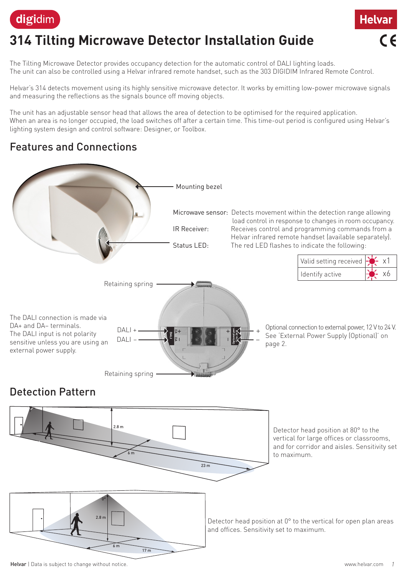

# **314 Tilting Microwave Detector Installation Guide**

The Tilting Microwave Detector provides occupancy detection for the automatic control of DALI lighting loads. The unit can also be controlled using a Helvar infrared remote handset, such as the 303 DIGIDIM Infrared Remote Control.

Helvar's 314 detects movement using its highly sensitive microwave detector. It works by emitting low-power microwave signals and measuring the reflections as the signals bounce off moving objects.

The unit has an adjustable sensor head that allows the area of detection to be optimised for the required application. When an area is no longer occupied, the load switches off after a certain time. This time-out period is configured using Helvar's lighting system design and control software: Designer, or Toolbox.

#### Features and Connections

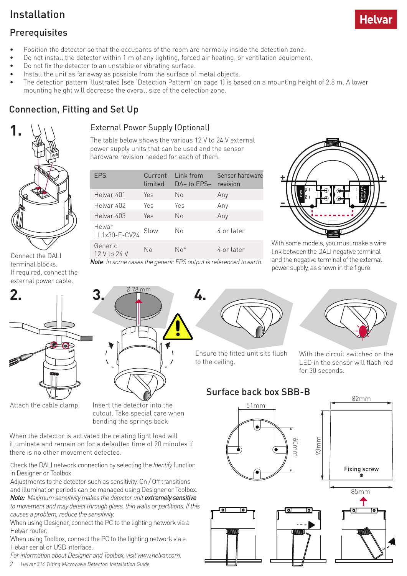#### Installation

- Position the detector so that the occupants of the room are normally inside the detection zone.
- Do not install the detector within 1 m of any lighting, forced air heating, or ventilation equipment.
- Do not fix the detector to an unstable or vibrating surface.
- Install the unit as far away as possible from the surface of metal objects.
- The detection pattern illustrated (see 'Detection Pattern' on page 1) is based on a mounting height of 2.8 m. A lower mounting height will decrease the overall size of the detection zone.

### Connection, Fitting and Set Up



Connect the DALI terminal blocks. If required, connect the external power cable.



Attach the cable clamp. Insert the detector into the cutout. Take special care when bending the springs back

When the detector is activated the relating light load will illuminate and remain on for a defaulted time of 20 minutes if there is no other movement detected.

Check the DALI network connection by selecting the *Identify* function in Designer or Toolbox

Adjustments to the detector such as sensitivity, On / Off transitions and illumination periods can be managed using Designer or Toolbox. **Note:** Maximum sensitivity makes the detector unit extremely sensitive *to movement and may detect through glass, thin walls or partitions. If this* 

*causes a problem, reduce the sensitivity.* When using Designer, connect the PC to the lighting network via a Helvar router.

When using Toolbox, connect the PC to the lighting network via a Helvar serial or USB interface.

*For information about Designer and Toolbox, visit www.helvar.com.*

*2 Helvar 314 Tilting Microwave Detector: Installation Guide*

#### External Power Supply (Optional)

The table below shows the various 12 V to 24 V external power supply units that can be used and the sensor hardware revision needed for each of them.

| <b>EPS</b>              | Current<br>limited | Link from<br>DA-to FPS- | Sensor hardware<br>revision |
|-------------------------|--------------------|-------------------------|-----------------------------|
| Helvar 401              | Yes                | No                      | Any                         |
| Helvar 402              | Yes                | Yes                     | Any                         |
| Helvar 403              | Yes                | Nο                      | Any                         |
| Helvar<br>LL1x30-E-CV24 | Slow               | No                      | 4 or later                  |
| Generic<br>12 V to 24 V | Nο                 | N∩*                     | 4 or later                  |

*Note*: *In some cases the generic EPS output is referenced to earth.*

**4.**

**4.**



With some models, you must make a wire link between the DALI negative terminal and the negative terminal of the external power supply, as shown in the figure.



Ensure the fitted unit sits flush to the ceiling.



With the circuit switched on the LED in the sensor will flash red for 30 seconds.

#### Surface back box SBB-B